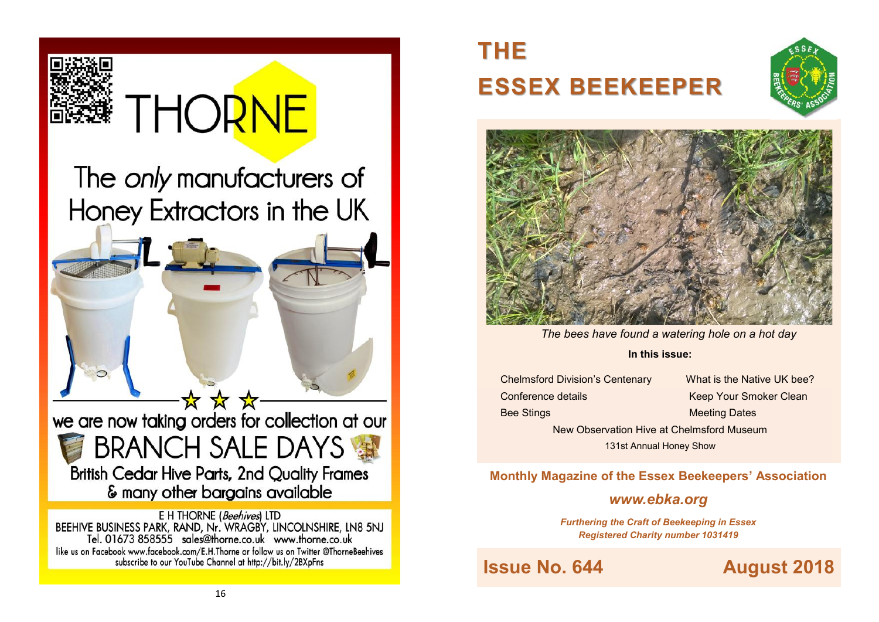

BEEHIVE BUSINESS PARK, RAND, Nr. WRAGBY, LINCOLNSHIRE, LN8 5NJ<br>Tel. 01673 858555 sales@thorne.co.uk www.thorne.co.uk like us on Facebook www.facebook.com/E.H.Thorne or follow us on Twitter @ThorneBeehives subscribe to our YouTube Channel at http://bit.ly/2BXpFns

# **THE ESSEX BEEKEEPER**





*The bees have found a watering hole on a hot day* 

#### **In this issue:**

Conference details Keep Your Smoker Clean

Chelmsford Division's Centenary What is the Native UK bee? Bee Stings Meeting Dates New Observation Hive at Chelmsford Museum 131st Annual Honey Show

### **Monthly Magazine of the Essex Beekeepers' Association**

### *www.ebka.org*

*Furthering the Craft of Beekeeping in Essex Registered Charity number 1031419*

**Issue No. 644 August 2018**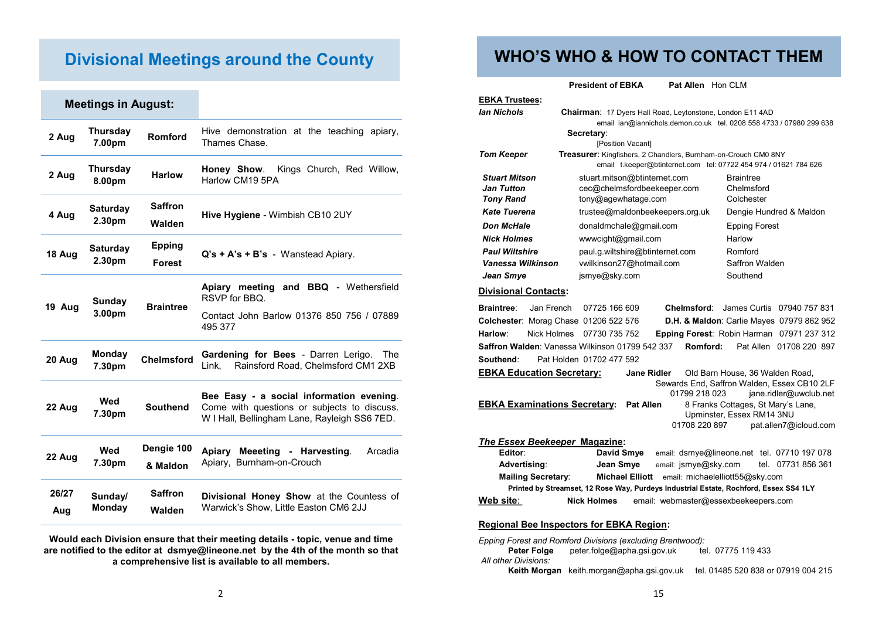### **Divisional Meetings around the County**

|              | <b>Meetings in August:</b> |                                |                                                                                                                                         |  |
|--------------|----------------------------|--------------------------------|-----------------------------------------------------------------------------------------------------------------------------------------|--|
| 2 Aug        | <b>Thursday</b><br>7.00pm  | Romford                        | Hive demonstration at the teaching apiary,<br>Thames Chase.                                                                             |  |
| 2 Aug        | <b>Thursday</b><br>8.00pm  | <b>Harlow</b>                  | Honey Show.<br>Kings Church, Red Willow,<br>Harlow CM19 5PA                                                                             |  |
| 4 Aug        | <b>Saturday</b><br>2.30pm  | <b>Saffron</b><br>Walden       | Hive Hygiene - Wimbish CB10 2UY                                                                                                         |  |
| 18 Aug       | <b>Saturday</b><br>2.30pm  | <b>Epping</b><br><b>Forest</b> | $Q's + A's + B's - W$ anstead Apiary.                                                                                                   |  |
| 19 Aug       | Sunday<br>3.00pm           | <b>Braintree</b>               | Apiary meeting and BBQ - Wethersfield<br>RSVP for BBQ.<br>Contact John Barlow 01376 850 756 / 07889<br>495 377                          |  |
| 20 Aug       | <b>Monday</b><br>7.30pm    | <b>Chelmsford</b>              | Gardening for Bees - Darren Lerigo.<br>The<br>Rainsford Road, Chelmsford CM1 2XB<br>Link.                                               |  |
| 22 Aug       | Wed<br>7.30pm              | <b>Southend</b>                | Bee Easy - a social information evening.<br>Come with questions or subjects to discuss.<br>W I Hall, Bellingham Lane, Rayleigh SS6 7ED. |  |
| 22 Aug       | Wed<br>7.30pm              | Dengie 100<br>& Maldon         | Arcadia<br>Apiary Meeeting - Harvesting.<br>Apiary, Burnham-on-Crouch                                                                   |  |
| 26/27<br>Aug | Sunday/<br><b>Monday</b>   | <b>Saffron</b><br>Walden       | Divisional Honey Show at the Countess of<br>Warwick's Show, Little Easton CM6 2JJ                                                       |  |

**Would each Division ensure that their meeting details - topic, venue and time are notified to the editor at dsmye@lineone.net by the 4th of the month so that a comprehensive list is available to all members.** 

### **WHO'S WHO & HOW TO CONTACT THEM**

**President of EBKA** Pat Allen Hon CLM

| <b>EBKA Trustees:</b>                                                                                  |                                                           |                          |  |               |                                                                                                                                           |                                                                     |  |
|--------------------------------------------------------------------------------------------------------|-----------------------------------------------------------|--------------------------|--|---------------|-------------------------------------------------------------------------------------------------------------------------------------------|---------------------------------------------------------------------|--|
| <b>lan Nichols</b>                                                                                     | Chairman: 17 Dyers Hall Road, Leytonstone, London E11 4AD |                          |  |               |                                                                                                                                           |                                                                     |  |
|                                                                                                        |                                                           |                          |  |               |                                                                                                                                           | email ian@iannichols.demon.co.uk tel. 0208 558 4733 / 07980 299 638 |  |
|                                                                                                        | Secretary:                                                |                          |  |               |                                                                                                                                           |                                                                     |  |
|                                                                                                        |                                                           | [Position Vacant]        |  |               |                                                                                                                                           |                                                                     |  |
| <b>Tom Keeper</b>                                                                                      |                                                           |                          |  |               | <b>Treasurer:</b> Kingfishers, 2 Chandlers, Burnham-on-Crouch CM0 8NY<br>email t.keeper@btinternet.com tel: 07722 454 974 / 01621 784 626 |                                                                     |  |
| <b>Stuart Mitson</b>                                                                                   | stuart.mitson@btinternet.com                              |                          |  |               | <b>Braintree</b>                                                                                                                          |                                                                     |  |
| <b>Jan Tutton</b>                                                                                      | cec@chelmsfordbeekeeper.com                               |                          |  |               | Chelmsford                                                                                                                                |                                                                     |  |
| <b>Tony Rand</b>                                                                                       | tony@agewhatage.com                                       |                          |  |               | Colchester                                                                                                                                |                                                                     |  |
| <b>Kate Tuerena</b>                                                                                    | trustee@maldonbeekeepers.org.uk                           |                          |  |               |                                                                                                                                           | Dengie Hundred & Maldon                                             |  |
| <b>Don McHale</b>                                                                                      | donaldmchale@gmail.com                                    |                          |  |               | <b>Epping Forest</b>                                                                                                                      |                                                                     |  |
| <b>Nick Holmes</b>                                                                                     | www.cight@gmail.com                                       |                          |  | Harlow        |                                                                                                                                           |                                                                     |  |
| <b>Paul Wiltshire</b>                                                                                  | paul.g.wiltshire@btinternet.com                           |                          |  | Romford       |                                                                                                                                           |                                                                     |  |
| Vanessa Wilkinson                                                                                      |                                                           | vwilkinson27@hotmail.com |  |               | Saffron Walden                                                                                                                            |                                                                     |  |
| Jean Smye                                                                                              | jsmye@sky.com                                             |                          |  |               | Southend                                                                                                                                  |                                                                     |  |
| <b>Divisional Contacts:</b>                                                                            |                                                           |                          |  |               |                                                                                                                                           |                                                                     |  |
| <b>Braintree:</b><br>Jan French                                                                        | 07725 166 609                                             |                          |  | Chelmsford:   |                                                                                                                                           | James Curtis 07940 757 831                                          |  |
| Colchester: Morag Chase 01206 522 576                                                                  |                                                           |                          |  |               |                                                                                                                                           | <b>D.H. &amp; Maldon: Carlie Mayes 07979 862 952</b>                |  |
| Harlow:<br>Nick Holmes 07730 735 752                                                                   |                                                           |                          |  |               |                                                                                                                                           | Epping Forest: Robin Harman 07971 237 312                           |  |
| Saffron Walden: Vanessa Wilkinson 01799 542 337                                                        |                                                           |                          |  | Romford:      |                                                                                                                                           | Pat Allen 01708 220 897                                             |  |
| Southend:                                                                                              | Pat Holden 01702 477 592                                  |                          |  |               |                                                                                                                                           |                                                                     |  |
| <b>EBKA Education Secretary:</b>                                                                       |                                                           | <b>Jane Ridler</b>       |  |               | Old Barn House, 36 Walden Road,                                                                                                           |                                                                     |  |
|                                                                                                        |                                                           |                          |  |               |                                                                                                                                           | Sewards End, Saffron Walden, Essex CB10 2LF                         |  |
| 01799 218 023<br>jane.ridler@uwclub.net<br><b>Pat Allen</b>                                            |                                                           |                          |  |               |                                                                                                                                           |                                                                     |  |
| <b>EBKA Examinations Secretary:</b><br>8 Franks Cottages, St Mary's Lane,<br>Upminster, Essex RM14 3NU |                                                           |                          |  |               |                                                                                                                                           |                                                                     |  |
|                                                                                                        |                                                           |                          |  | 01708 220 897 |                                                                                                                                           | pat.allen7@icloud.com                                               |  |
|                                                                                                        |                                                           |                          |  |               |                                                                                                                                           |                                                                     |  |
| The Essex Beekeeper Magazine:<br>David Smus small: demugatingsna not tol 07710 107 078<br>Editor:      |                                                           |                          |  |               |                                                                                                                                           |                                                                     |  |

|                                                                                       | Editor:                         | David Smye             | email: dsmye@lineone.net tel. 07710 197 078 |  |                    |  |  |
|---------------------------------------------------------------------------------------|---------------------------------|------------------------|---------------------------------------------|--|--------------------|--|--|
|                                                                                       | Advertising:                    | Jean Smye              | email: jsmye@sky.com                        |  | tel. 07731 856 361 |  |  |
|                                                                                       | <b>Mailing Secretary:</b>       | <b>Michael Elliott</b> | email: michaelelliott55@sky.com             |  |                    |  |  |
| Printed by Streamset, 12 Rose Way, Purdeys Industrial Estate, Rochford, Essex SS4 1LY |                                 |                        |                                             |  |                    |  |  |
|                                                                                       | Web site:<br><b>Nick Holmes</b> |                        | email: webmaster@essexbeekeepers.com        |  |                    |  |  |

#### **Regional Bee Inspectors for EBKA Region:**

*Epping Forest and Romford Divisions (excluding Brentwood):* peter.folge@apha.gsi.gov.uk tel. 07775 119 433 *All other Divisions:* **Keith Morgan** keith.morgan@apha.gsi.gov.uk tel. 01485 520 838 or 07919 004 215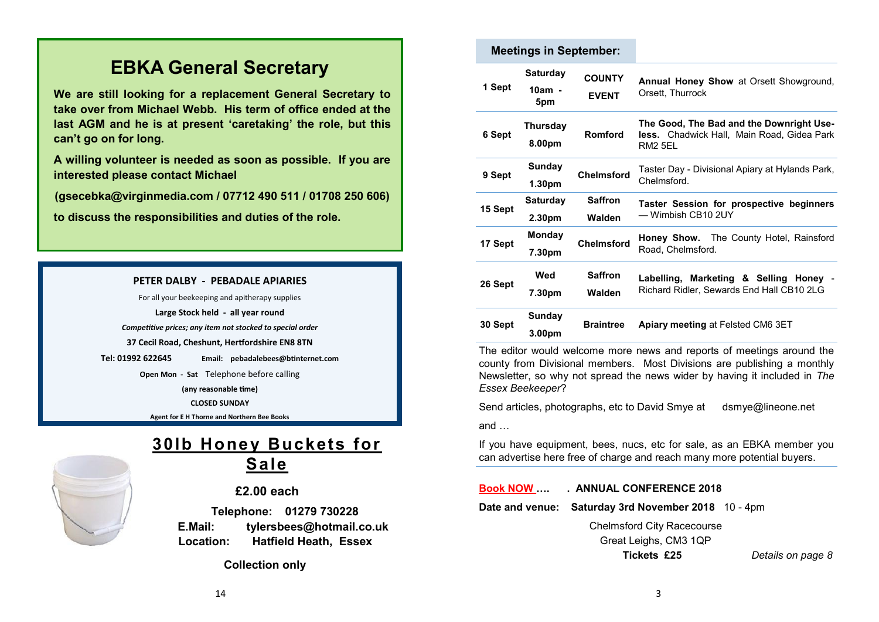### **EBKA General Secretary**

**We are still looking for a replacement General Secretary to take over from Michael Webb. His term of office ended at the last AGM and he is at present 'caretaking' the role, but this can't go on for long.**

**A willing volunteer is needed as soon as possible. If you are interested please contact Michael** 

**(gsecebka@virginmedia.com / 07712 490 511 / 01708 250 606)**

**to discuss the responsibilities and duties of the role.**

#### **PETER DALBY - PEBADALE APIARIES**

For all your beekeeping and apitherapy supplies **Large Stock held - all year round** *Competitive prices; any item not stocked to special order* **37 Cecil Road, Cheshunt, Hertfordshire EN8 8TN Tel: 01992 622645 Email: pebadalebees@btinternet.com**

> **Open Mon - Sat** Telephone before calling **(any reasonable time) CLOSED SUNDAY**

**Agent for E H Thorne and Northern Bee Books**



### **30lb Honey Buckets for Sale**

#### **£2.00 each**

 **Telephone: 01279 730228 E.Mail: tylersbees@hotmail.co.uk Location: Hatfield Heath, Essex**

 **Collection only**

| <b>Meetings in September:</b> |                                       |                               |                                                                                                          |  |  |
|-------------------------------|---------------------------------------|-------------------------------|----------------------------------------------------------------------------------------------------------|--|--|
| 1 Sept                        | <b>Saturday</b><br>$10am -$<br>5pm    | <b>COUNTY</b><br><b>EVENT</b> | <b>Annual Honey Show at Orsett Showground,</b><br>Orsett, Thurrock                                       |  |  |
| 6 Sept                        | <b>Thursday</b><br>8.00pm             | Romford                       | The Good, The Bad and the Downright Use-<br><b>less.</b> Chadwick Hall, Main Road, Gidea Park<br>RM2 5FL |  |  |
| 9 Sept                        | Sunday<br>1.30 <sub>pm</sub>          | <b>Chelmsford</b>             | Taster Day - Divisional Apiary at Hylands Park,<br>Chelmsford.                                           |  |  |
| 15 Sept                       | <b>Saturday</b><br>2.30 <sub>pm</sub> | <b>Saffron</b><br>Walden      | Taster Session for prospective beginners<br>— Wimbish CB10 2UY                                           |  |  |
|                               |                                       |                               |                                                                                                          |  |  |
| 17 Sept                       | Monday<br>7.30pm                      | <b>Chelmsford</b>             | <b>Honey Show.</b> The County Hotel, Rainsford<br>Road, Chelmsford.                                      |  |  |
| 26 Sept                       | Wed<br>7.30pm                         | <b>Saffron</b><br>Walden      | Labelling, Marketing & Selling Honey -<br>Richard Ridler, Sewards End Hall CB10 2LG                      |  |  |

The editor would welcome more news and reports of meetings around the county from Divisional members. Most Divisions are publishing a monthly Newsletter, so why not spread the news wider by having it included in *The Essex Beekeeper*?

Send articles, photographs, etc to David Smye at dsmye@lineone.net

and …

If you have equipment, bees, nucs, etc for sale, as an EBKA member you can advertise here free of charge and reach many more potential buyers.

#### **Book NOW …. . ANNUAL CONFERENCE 2018**

**Date and venue: Saturday 3rd November 2018** 10 - 4pm

Chelmsford City Racecourse Great Leighs, CM3 1QP

**Tickets £25** *Details on page 8*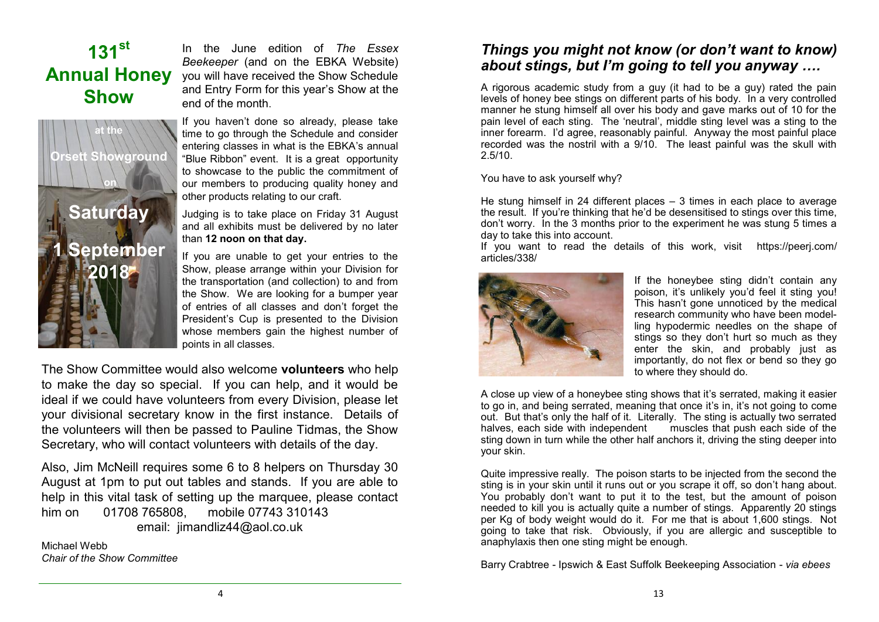## **131st Annual Honey Show**

**at the**

**Orsett Showground**

**on** 

**Saturday**

**1 September** 

**2018**

In the June edition of *The Essex Beekeeper* (and on the EBKA Website) you will have received the Show Schedule and Entry Form for this year's Show at the end of the month.

If you haven't done so already, please take time to go through the Schedule and consider entering classes in what is the EBKA's annual "Blue Ribbon" event. It is a great opportunity to showcase to the public the commitment of our members to producing quality honey and other products relating to our craft.

Judging is to take place on Friday 31 August and all exhibits must be delivered by no later than **12 noon on that day.** 

If you are unable to get your entries to the Show, please arrange within your Division for the transportation (and collection) to and from the Show. We are looking for a bumper year of entries of all classes and don't forget the President's Cup is presented to the Division whose members gain the highest number of points in all classes.

The Show Committee would also welcome **volunteers** who help to make the day so special. If you can help, and it would be ideal if we could have volunteers from every Division, please let your divisional secretary know in the first instance. Details of the volunteers will then be passed to Pauline Tidmas, the Show Secretary, who will contact volunteers with details of the day.

Also, Jim McNeill requires some 6 to 8 helpers on Thursday 30 August at 1pm to put out tables and stands. If you are able to help in this vital task of setting up the marquee, please contact him on 01708 765808, mobile 07743 310143 email: [jimandliz44@aol.co.uk](mailto:jimandliz44@aol.co.uk)

Michael Webb *Chair of the Show Committee*

*Things you might not know (or don't want to know) about stings, but I'm going to tell you anyway ….*

A rigorous academic study from a guy (it had to be a guy) rated the pain levels of honey bee stings on different parts of his body. In a very controlled manner he stung himself all over his body and gave marks out of 10 for the pain level of each sting. The 'neutral', middle sting level was a sting to the inner forearm. I'd agree, reasonably painful. Anyway the most painful place recorded was the nostril with a 9/10. The least painful was the skull with 2.5/10.

You have to ask yourself why?

He stung himself in 24 different places  $-3$  times in each place to average the result. If you're thinking that he'd be desensitised to stings over this time, don't worry. In the 3 months prior to the experiment he was stung 5 times a day to take this into account.

If you want to read the details of this work, visit https://peeri.com/ articles/338/



If the honeybee sting didn't contain any poison, it's unlikely you'd feel it sting you! This hasn't gone unnoticed by the medical research community who have been modelling hypodermic needles on the shape of stings so they don't hurt so much as they enter the skin, and probably just as importantly, do not flex or bend so they go to where they should do.

A close up view of a honeybee sting shows that it's serrated, making it easier to go in, and being serrated, meaning that once it's in, it's not going to come out. But that's only the half of it. Literally. The sting is actually two serrated halves, each side with independent muscles that push each side of the muscles that push each side of the sting down in turn while the other half anchors it, driving the sting deeper into your skin.

Quite impressive really. The poison starts to be injected from the second the sting is in your skin until it runs out or you scrape it off, so don't hang about. You probably don't want to put it to the test, but the amount of poison needed to kill you is actually quite a number of stings. Apparently 20 stings per Kg of body weight would do it. For me that is about 1,600 stings. Not aoing to take that risk. Obviously, if you are allergic and susceptible to anaphylaxis then one sting might be enough.

Barry Crabtree - Ipswich & East Suffolk Beekeeping Association - *via ebees*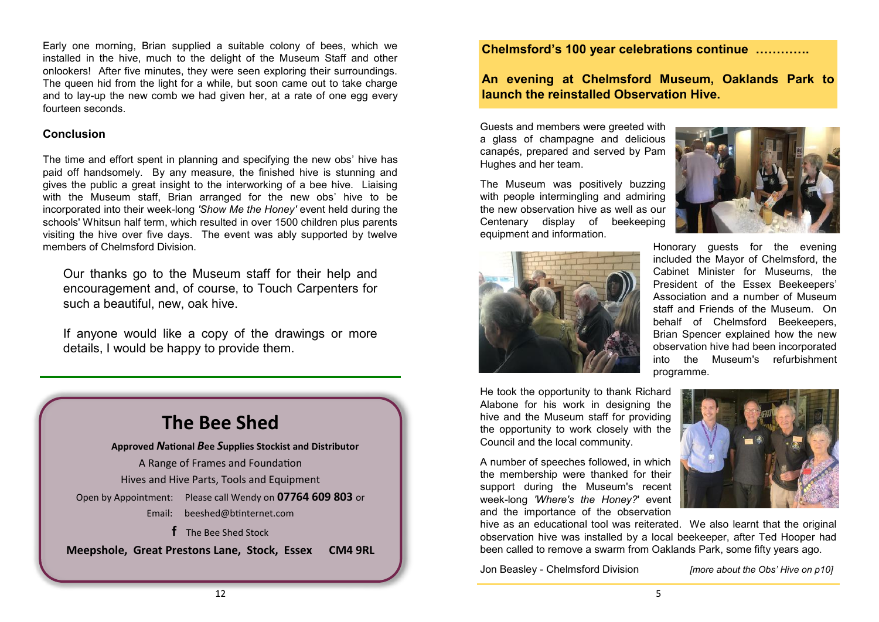Early one morning, Brian supplied a suitable colony of bees, which we installed in the hive, much to the delight of the Museum Staff and other onlookers! After five minutes, they were seen exploring their surroundings. The queen hid from the light for a while, but soon came out to take charge and to lay-up the new comb we had given her, at a rate of one egg every fourteen seconds.

#### **Conclusion**

The time and effort spent in planning and specifying the new obs' hive has paid off handsomely. By any measure, the finished hive is stunning and gives the public a great insight to the interworking of a bee hive. Liaising with the Museum staff, Brian arranged for the new obs' hive to be incorporated into their week-long *'Show Me the Honey'* event held during the schools' Whitsun half term, which resulted in over 1500 children plus parents visiting the hive over five days. The event was ably supported by twelve members of Chelmsford Division.

Our thanks go to the Museum staff for their help and encouragement and, of course, to Touch Carpenters for such a beautiful, new, oak hive.

If anyone would like a copy of the drawings or more details, I would be happy to provide them.

### **The Bee Shed**

**Approved** *N***ational** *B***ee** *S***upplies Stockist and Distributor** A Range of Frames and Foundation Hives and Hive Parts, Tools and Equipment Open by Appointment: Please call Wendy on **07764 609 803** or Email: [beeshed@btinternet.com](mailto:beeshed@btinternet.com)  **f** The Bee Shed Stock

**Meepshole, Great Prestons Lane, Stock, Essex CM4 9RL**

#### **Chelmsford's 100 year celebrations continue ………….**

**An evening at Chelmsford Museum, Oaklands Park to launch the reinstalled Observation Hive.**

Guests and members were greeted with a glass of champagne and delicious canapés, prepared and served by Pam Hughes and her team.

The Museum was positively buzzing with people intermingling and admiring the new observation hive as well as our Centenary display of beekeeping equipment and information.





Honorary guests for the evening included the Mayor of Chelmsford, the Cabinet Minister for Museums, the President of the Essex Beekeepers' Association and a number of Museum staff and Friends of the Museum. On behalf of Chelmsford Beekeepers, Brian Spencer explained how the new observation hive had been incorporated into the Museum's refurbishment programme.

He took the opportunity to thank Richard Alabone for his work in designing the hive and the Museum staff for providing the opportunity to work closely with the Council and the local community.

A number of speeches followed, in which the membership were thanked for their support during the Museum's recent week-long *'Where's the Honey?*' event and the importance of the observation



hive as an educational tool was reiterated. We also learnt that the original observation hive was installed by a local beekeeper, after Ted Hooper had been called to remove a swarm from Oaklands Park, some fifty years ago.

Jon Beasley - Chelmsford Division *[more about the Obs' Hive on p10]*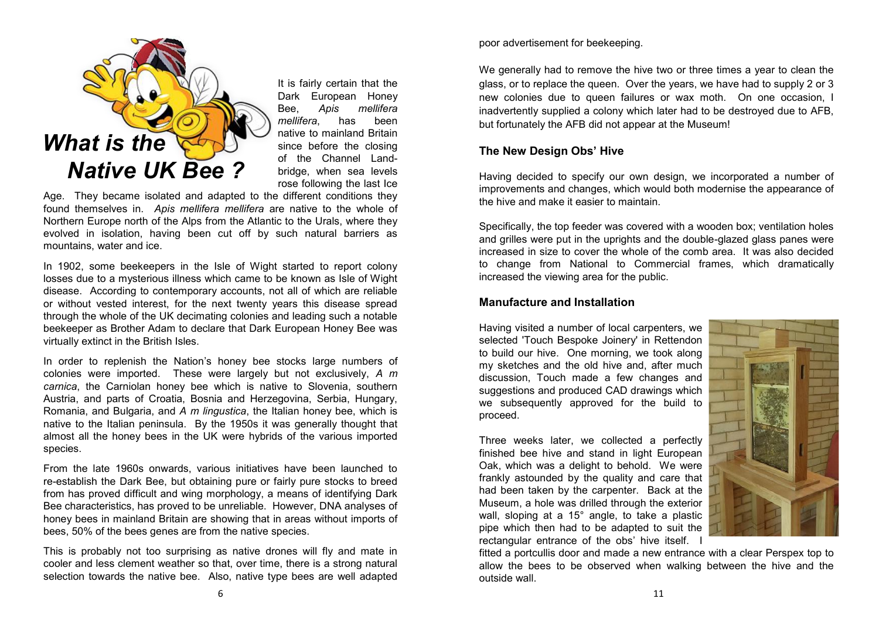

It is fairly certain that the Dark European Honey Bee, *Apis mellifera mellifera*, has been native to mainland Britain since before the closing of the Channel Landbridge, when sea levels rose following the last Ice

Age. They became isolated and adapted to the different conditions they found themselves in. *Apis mellifera mellifera* are native to the whole of Northern Europe north of the Alps from the Atlantic to the Urals, where they evolved in isolation, having been cut off by such natural barriers as mountains, water and ice.

In 1902, some beekeepers in the Isle of Wight started to report colony losses due to a mysterious illness which came to be known as Isle of Wight disease. According to contemporary accounts, not all of which are reliable or without vested interest, for the next twenty years this disease spread through the whole of the UK decimating colonies and leading such a notable beekeeper as Brother Adam to declare that Dark European Honey Bee was virtually extinct in the British Isles.

In order to replenish the Nation's honey bee stocks large numbers of colonies were imported. These were largely but not exclusively, *A m carnica*, the Carniolan honey bee which is native to Slovenia, southern Austria, and parts of Croatia, Bosnia and Herzegovina, Serbia, Hungary, Romania, and Bulgaria, and *A m lingustica*, the Italian honey bee, which is native to the Italian peninsula. By the 1950s it was generally thought that almost all the honey bees in the UK were hybrids of the various imported species.

From the late 1960s onwards, various initiatives have been launched to re-establish the Dark Bee, but obtaining pure or fairly pure stocks to breed from has proved difficult and wing morphology, a means of identifying Dark Bee characteristics, has proved to be unreliable. However, DNA analyses of honey bees in mainland Britain are showing that in areas without imports of bees, 50% of the bees genes are from the native species.

This is probably not too surprising as native drones will fly and mate in cooler and less clement weather so that, over time, there is a strong natural selection towards the native bee. Also, native type bees are well adapted poor advertisement for beekeeping.

We generally had to remove the hive two or three times a year to clean the glass, or to replace the queen. Over the years, we have had to supply 2 or 3 new colonies due to queen failures or wax moth. On one occasion, I inadvertently supplied a colony which later had to be destroyed due to AFB, but fortunately the AFB did not appear at the Museum!

#### **The New Design Obs' Hive**

Having decided to specify our own design, we incorporated a number of improvements and changes, which would both modernise the appearance of the hive and make it easier to maintain.

Specifically, the top feeder was covered with a wooden box; ventilation holes and grilles were put in the uprights and the double-glazed glass panes were increased in size to cover the whole of the comb area. It was also decided to change from National to Commercial frames, which dramatically increased the viewing area for the public.

#### **Manufacture and Installation**

Having visited a number of local carpenters, we selected 'Touch Bespoke Joinery' in Rettendon to build our hive. One morning, we took along my sketches and the old hive and, after much discussion, Touch made a few changes and suggestions and produced CAD drawings which we subsequently approved for the build to proceed.

Three weeks later, we collected a perfectly finished bee hive and stand in light European Oak, which was a delight to behold. We were frankly astounded by the quality and care that had been taken by the carpenter. Back at the Museum, a hole was drilled through the exterior wall, sloping at a 15° angle, to take a plastic pipe which then had to be adapted to suit the rectangular entrance of the obs' hive itself. I



fitted a portcullis door and made a new entrance with a clear Perspex top to allow the bees to be observed when walking between the hive and the outside wall.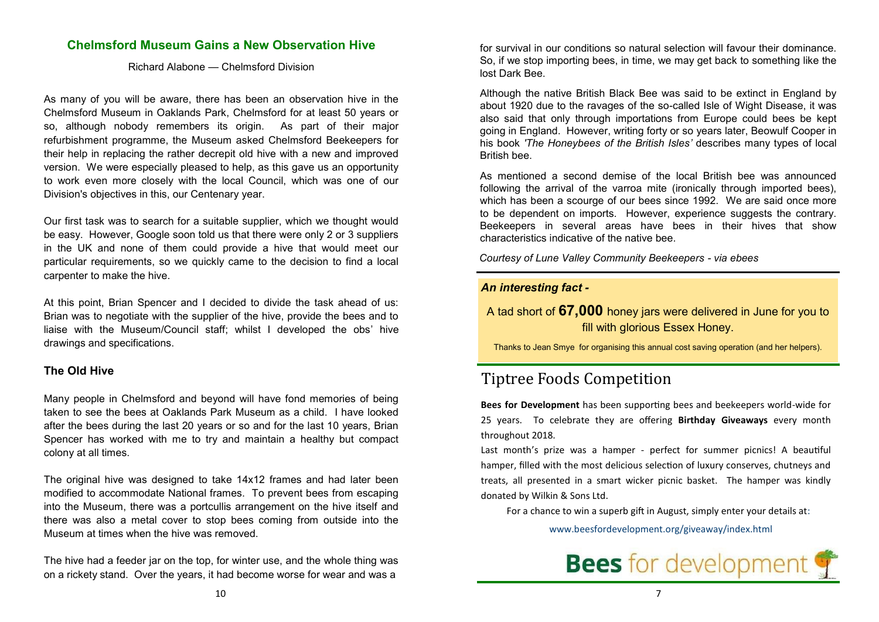#### **Chelmsford Museum Gains a New Observation Hive**

Richard Alabone — Chelmsford Division

As many of you will be aware, there has been an observation hive in the Chelmsford Museum in Oaklands Park, Chelmsford for at least 50 years or so, although nobody remembers its origin. As part of their major refurbishment programme, the Museum asked Chelmsford Beekeepers for their help in replacing the rather decrepit old hive with a new and improved version. We were especially pleased to help, as this gave us an opportunity to work even more closely with the local Council, which was one of our Division's objectives in this, our Centenary year.

Our first task was to search for a suitable supplier, which we thought would be easy. However, Google soon told us that there were only 2 or 3 suppliers in the UK and none of them could provide a hive that would meet our particular requirements, so we quickly came to the decision to find a local carpenter to make the hive.

At this point, Brian Spencer and I decided to divide the task ahead of us: Brian was to negotiate with the supplier of the hive, provide the bees and to liaise with the Museum/Council staff; whilst I developed the obs' hive drawings and specifications.

#### **The Old Hive**

Many people in Chelmsford and beyond will have fond memories of being taken to see the bees at Oaklands Park Museum as a child. I have looked after the bees during the last 20 years or so and for the last 10 years, Brian Spencer has worked with me to try and maintain a healthy but compact colony at all times.

The original hive was designed to take 14x12 frames and had later been modified to accommodate National frames. To prevent bees from escaping into the Museum, there was a portcullis arrangement on the hive itself and there was also a metal cover to stop bees coming from outside into the Museum at times when the hive was removed.

The hive had a feeder jar on the top, for winter use, and the whole thing was on a rickety stand. Over the years, it had become worse for wear and was a

for survival in our conditions so natural selection will favour their dominance. So, if we stop importing bees, in time, we may get back to something like the lost Dark Bee.

Although the native British Black Bee was said to be extinct in England by about 1920 due to the ravages of the so-called Isle of Wight Disease, it was also said that only through importations from Europe could bees be kept going in England. However, writing forty or so years later, Beowulf Cooper in his book *'The Honeybees of the British Isles'* describes many types of local British bee.

As mentioned a second demise of the local British bee was announced following the arrival of the varroa mite (ironically through imported bees), which has been a scourge of our bees since 1992. We are said once more to be dependent on imports. However, experience suggests the contrary. Beekeepers in several areas have bees in their hives that show characteristics indicative of the native bee.

*Courtesy of Lune Valley Community Beekeepers - via ebees*

#### *An interesting fact -*

A tad short of **67,000** honey jars were delivered in June for you to fill with glorious Essex Honey.

Thanks to Jean Smye for organising this annual cost saving operation (and her helpers).

### Tiptree Foods Competition

**Bees for Development** has been supporting bees and beekeepers world-wide for 25 years. To celebrate they are offering **Birthday Giveaways** every month throughout 2018.

Last month's prize was a hamper - perfect for summer picnics! A beautiful hamper, filled with the most delicious selection of luxury conserves, chutneys and treats, all presented in a smart wicker picnic basket. The hamper was kindly donated by Wilkin & Sons Ltd.

For a chance to win a superb gift in August, simply enter your details at:

[www.beesfordevelopment.org/giveaway/index.html](http://www.beesfordevelopment.org/giveaway/index.html)